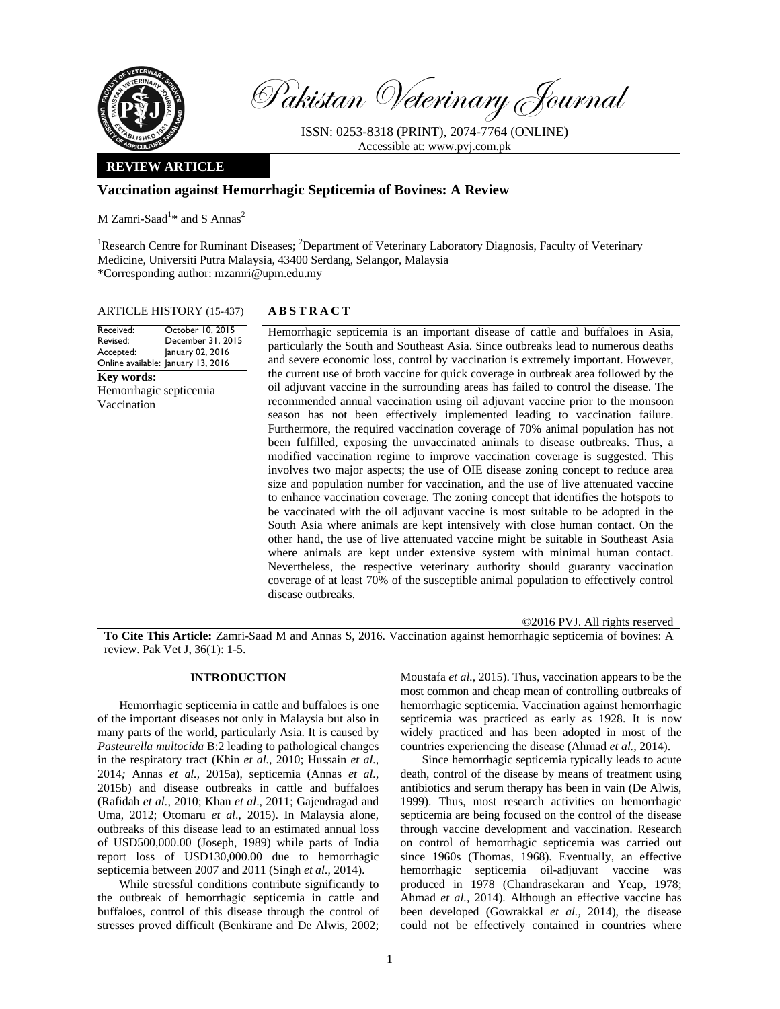

Pakistan Veterinary Journal

ISSN: 0253-8318 (PRINT), 2074-7764 (ONLINE) Accessible at: www.pvj.com.pk

# **REVIEW ARTICLE**

# **Vaccination against Hemorrhagic Septicemia of Bovines: A Review**

 $M$  Zamri-Saad<sup>1\*</sup> and S Annas<sup>2</sup>

<sup>1</sup>Research Centre for Ruminant Diseases; <sup>2</sup>Department of Veterinary Laboratory Diagnosis, Faculty of Veterinary Medicine, Universiti Putra Malaysia, 43400 Serdang, Selangor, Malaysia \*Corresponding author: mzamri@upm.edu.my

### ARTICLE HISTORY (15-437) **ABSTRACT**

Received: Revised: Accepted: Online available: January 13, 2016 October 10, 2015 December 31, 2015 January 02, 2016 **Key words:**  Hemorrhagic septicemia Vaccination

 Hemorrhagic septicemia is an important disease of cattle and buffaloes in Asia, particularly the South and Southeast Asia. Since outbreaks lead to numerous deaths and severe economic loss, control by vaccination is extremely important. However, the current use of broth vaccine for quick coverage in outbreak area followed by the oil adjuvant vaccine in the surrounding areas has failed to control the disease. The recommended annual vaccination using oil adjuvant vaccine prior to the monsoon season has not been effectively implemented leading to vaccination failure. Furthermore, the required vaccination coverage of 70% animal population has not been fulfilled, exposing the unvaccinated animals to disease outbreaks. Thus, a modified vaccination regime to improve vaccination coverage is suggested. This involves two major aspects; the use of OIE disease zoning concept to reduce area size and population number for vaccination, and the use of live attenuated vaccine to enhance vaccination coverage. The zoning concept that identifies the hotspots to be vaccinated with the oil adjuvant vaccine is most suitable to be adopted in the South Asia where animals are kept intensively with close human contact. On the other hand, the use of live attenuated vaccine might be suitable in Southeast Asia where animals are kept under extensive system with minimal human contact. Nevertheless, the respective veterinary authority should guaranty vaccination coverage of at least 70% of the susceptible animal population to effectively control disease outbreaks.

©2016 PVJ. All rights reserved

**To Cite This Article:** Zamri-Saad M and Annas S, 2016. Vaccination against hemorrhagic septicemia of bovines: A review. Pak Vet J, 36(1): 1-5.

#### **INTRODUCTION**

Hemorrhagic septicemia in cattle and buffaloes is one of the important diseases not only in Malaysia but also in many parts of the world, particularly Asia. It is caused by *Pasteurella multocida* B:2 leading to pathological changes in the respiratory tract (Khin *et al.,* 2010; Hussain *et al.,*  2014*;* Annas *et al.,* 2015a), septicemia (Annas *et al.,*  2015b) and disease outbreaks in cattle and buffaloes (Rafidah *et al.,* 2010; Khan *et al*., 2011; Gajendragad and Uma, 2012; Otomaru *et al*., 2015). In Malaysia alone, outbreaks of this disease lead to an estimated annual loss of USD500,000.00 (Joseph, 1989) while parts of India report loss of USD130,000.00 due to hemorrhagic septicemia between 2007 and 2011 (Singh *et al.,* 2014).

While stressful conditions contribute significantly to the outbreak of hemorrhagic septicemia in cattle and buffaloes, control of this disease through the control of stresses proved difficult (Benkirane and De Alwis, 2002;

Moustafa *et al.,* 2015). Thus, vaccination appears to be the most common and cheap mean of controlling outbreaks of hemorrhagic septicemia. Vaccination against hemorrhagic septicemia was practiced as early as 1928. It is now widely practiced and has been adopted in most of the countries experiencing the disease (Ahmad *et al.,* 2014).

Since hemorrhagic septicemia typically leads to acute death, control of the disease by means of treatment using antibiotics and serum therapy has been in vain (De Alwis, 1999). Thus, most research activities on hemorrhagic septicemia are being focused on the control of the disease through vaccine development and vaccination. Research on control of hemorrhagic septicemia was carried out since 1960s (Thomas, 1968). Eventually, an effective hemorrhagic septicemia oil-adjuvant vaccine was produced in 1978 (Chandrasekaran and Yeap, 1978; Ahmad *et al.,* 2014). Although an effective vaccine has been developed (Gowrakkal *et al.,* 2014), the disease could not be effectively contained in countries where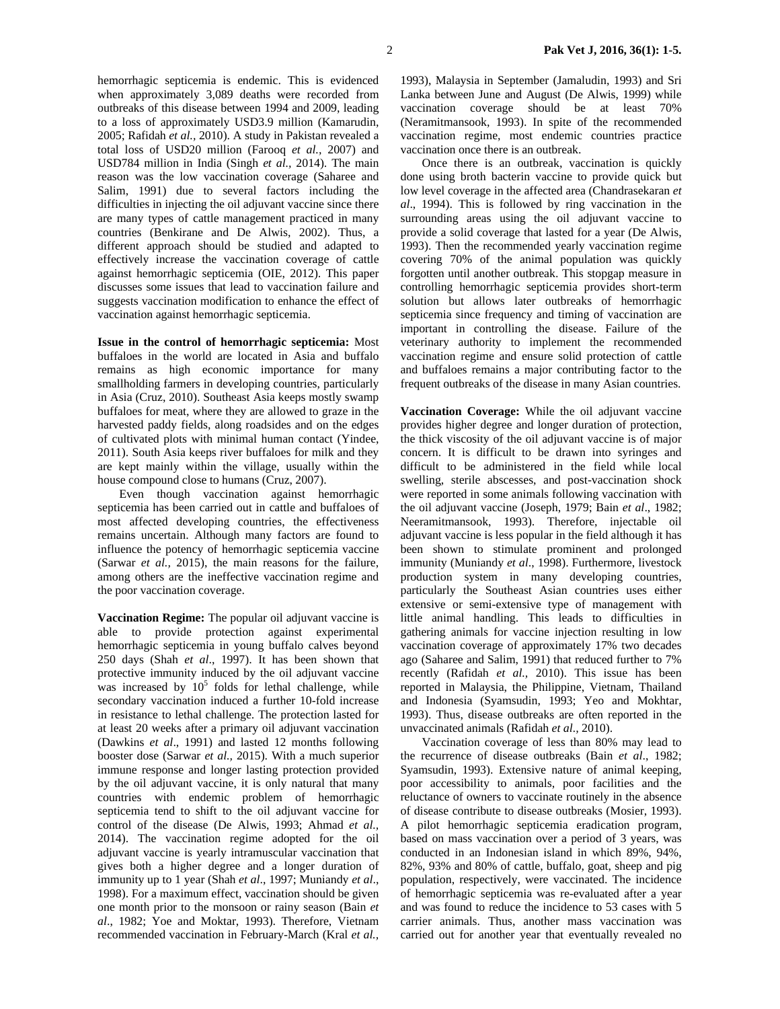hemorrhagic septicemia is endemic. This is evidenced when approximately 3,089 deaths were recorded from outbreaks of this disease between 1994 and 2009, leading to a loss of approximately USD3.9 million (Kamarudin, 2005; Rafidah *et al.,* 2010). A study in Pakistan revealed a total loss of USD20 million (Farooq *et al.,* 2007) and USD784 million in India (Singh *et al.,* 2014). The main reason was the low vaccination coverage (Saharee and Salim, 1991) due to several factors including the difficulties in injecting the oil adjuvant vaccine since there are many types of cattle management practiced in many countries (Benkirane and De Alwis, 2002). Thus, a different approach should be studied and adapted to effectively increase the vaccination coverage of cattle against hemorrhagic septicemia (OIE, 2012). This paper discusses some issues that lead to vaccination failure and suggests vaccination modification to enhance the effect of vaccination against hemorrhagic septicemia.

**Issue in the control of hemorrhagic septicemia:** Most buffaloes in the world are located in Asia and buffalo remains as high economic importance for many smallholding farmers in developing countries, particularly in Asia (Cruz, 2010). Southeast Asia keeps mostly swamp buffaloes for meat, where they are allowed to graze in the harvested paddy fields, along roadsides and on the edges of cultivated plots with minimal human contact (Yindee, 2011). South Asia keeps river buffaloes for milk and they are kept mainly within the village, usually within the house compound close to humans (Cruz, 2007).

Even though vaccination against hemorrhagic septicemia has been carried out in cattle and buffaloes of most affected developing countries, the effectiveness remains uncertain. Although many factors are found to influence the potency of hemorrhagic septicemia vaccine (Sarwar *et al.,* 2015), the main reasons for the failure, among others are the ineffective vaccination regime and the poor vaccination coverage.

**Vaccination Regime:** The popular oil adjuvant vaccine is able to provide protection against experimental hemorrhagic septicemia in young buffalo calves beyond 250 days (Shah *et al*., 1997). It has been shown that protective immunity induced by the oil adjuvant vaccine was increased by  $10^5$  folds for lethal challenge, while secondary vaccination induced a further 10-fold increase in resistance to lethal challenge. The protection lasted for at least 20 weeks after a primary oil adjuvant vaccination (Dawkins *et al*., 1991) and lasted 12 months following booster dose (Sarwar *et al.,* 2015). With a much superior immune response and longer lasting protection provided by the oil adjuvant vaccine, it is only natural that many countries with endemic problem of hemorrhagic septicemia tend to shift to the oil adjuvant vaccine for control of the disease (De Alwis, 1993; Ahmad *et al.,*  2014). The vaccination regime adopted for the oil adjuvant vaccine is yearly intramuscular vaccination that gives both a higher degree and a longer duration of immunity up to 1 year (Shah *et al*., 1997; Muniandy *et al*., 1998). For a maximum effect, vaccination should be given one month prior to the monsoon or rainy season (Bain *et al*., 1982; Yoe and Moktar, 1993). Therefore, Vietnam recommended vaccination in February-March (Kral *et al.,* 

1993), Malaysia in September (Jamaludin, 1993) and Sri Lanka between June and August (De Alwis, 1999) while vaccination coverage should be at least 70% (Neramitmansook, 1993). In spite of the recommended vaccination regime, most endemic countries practice vaccination once there is an outbreak.

Once there is an outbreak, vaccination is quickly done using broth bacterin vaccine to provide quick but low level coverage in the affected area (Chandrasekaran *et al*., 1994). This is followed by ring vaccination in the surrounding areas using the oil adjuvant vaccine to provide a solid coverage that lasted for a year (De Alwis, 1993). Then the recommended yearly vaccination regime covering 70% of the animal population was quickly forgotten until another outbreak. This stopgap measure in controlling hemorrhagic septicemia provides short-term solution but allows later outbreaks of hemorrhagic septicemia since frequency and timing of vaccination are important in controlling the disease. Failure of the veterinary authority to implement the recommended vaccination regime and ensure solid protection of cattle and buffaloes remains a major contributing factor to the frequent outbreaks of the disease in many Asian countries.

**Vaccination Coverage:** While the oil adjuvant vaccine provides higher degree and longer duration of protection, the thick viscosity of the oil adjuvant vaccine is of major concern. It is difficult to be drawn into syringes and difficult to be administered in the field while local swelling, sterile abscesses, and post-vaccination shock were reported in some animals following vaccination with the oil adjuvant vaccine (Joseph, 1979; Bain *et al*., 1982; Neeramitmansook, 1993). Therefore, injectable oil adjuvant vaccine is less popular in the field although it has been shown to stimulate prominent and prolonged immunity (Muniandy *et al*., 1998). Furthermore, livestock production system in many developing countries, particularly the Southeast Asian countries uses either extensive or semi-extensive type of management with little animal handling. This leads to difficulties in gathering animals for vaccine injection resulting in low vaccination coverage of approximately 17% two decades ago (Saharee and Salim, 1991) that reduced further to 7% recently (Rafidah *et al.,* 2010). This issue has been reported in Malaysia, the Philippine, Vietnam, Thailand and Indonesia (Syamsudin, 1993; Yeo and Mokhtar, 1993). Thus, disease outbreaks are often reported in the unvaccinated animals (Rafidah *et al.,* 2010).

Vaccination coverage of less than 80% may lead to the recurrence of disease outbreaks (Bain *et al*., 1982; Syamsudin, 1993). Extensive nature of animal keeping, poor accessibility to animals, poor facilities and the reluctance of owners to vaccinate routinely in the absence of disease contribute to disease outbreaks (Mosier, 1993). A pilot hemorrhagic septicemia eradication program, based on mass vaccination over a period of 3 years, was conducted in an Indonesian island in which 89%, 94%, 82%, 93% and 80% of cattle, buffalo, goat, sheep and pig population, respectively, were vaccinated. The incidence of hemorrhagic septicemia was re-evaluated after a year and was found to reduce the incidence to 53 cases with 5 carrier animals. Thus, another mass vaccination was carried out for another year that eventually revealed no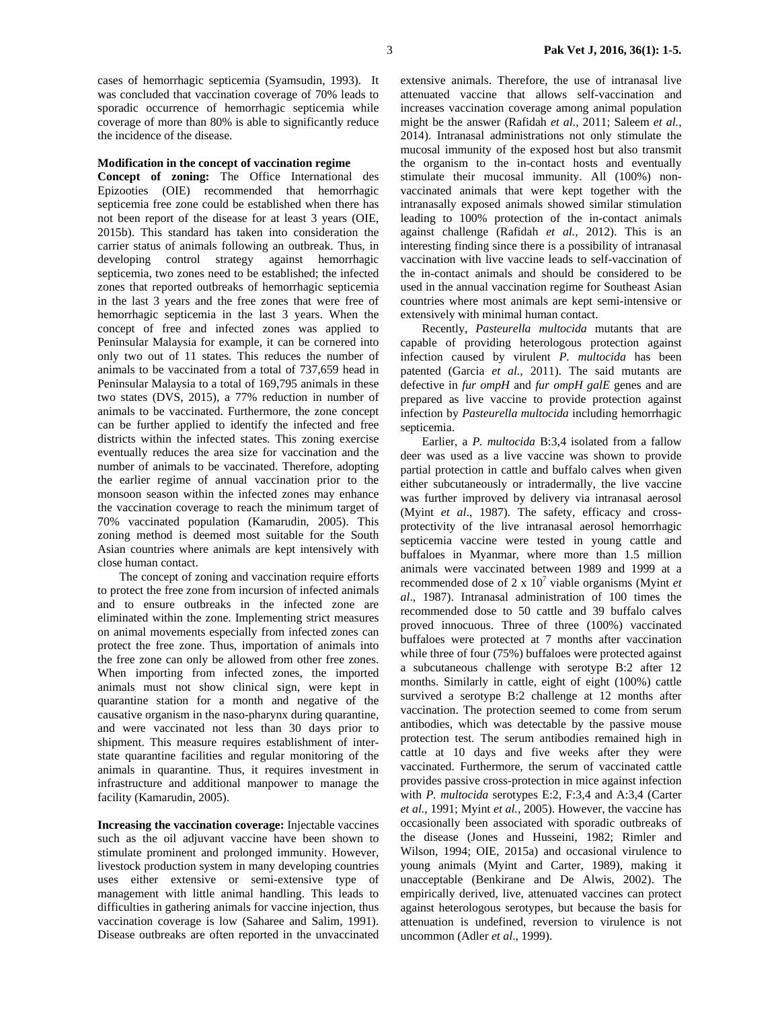cases of hemorrhagic septicemia (Syamsudin, 1993). It was concluded that vaccination coverage of 70% leads to sporadic occurrence of hemorrhagic septicemia while coverage of more than 80% is able to significantly reduce the incidence of the disease.

#### **Modification in the concept of vaccination regime**

**Concept of zoning:** The Office International des Epizooties (OIE) recommended that hemorrhagic septicemia free zone could be established when there has not been report of the disease for at least 3 years (OIE, 2015b). This standard has taken into consideration the carrier status of animals following an outbreak. Thus, in developing control strategy against hemorrhagic septicemia, two zones need to be established; the infected zones that reported outbreaks of hemorrhagic septicemia in the last 3 years and the free zones that were free of hemorrhagic septicemia in the last 3 years. When the concept of free and infected zones was applied to Peninsular Malaysia for example, it can be cornered into only two out of 11 states. This reduces the number of animals to be vaccinated from a total of 737,659 head in Peninsular Malaysia to a total of 169,795 animals in these two states (DVS, 2015), a 77% reduction in number of animals to be vaccinated. Furthermore, the zone concept can be further applied to identify the infected and free districts within the infected states. This zoning exercise eventually reduces the area size for vaccination and the number of animals to be vaccinated. Therefore, adopting the earlier regime of annual vaccination prior to the monsoon season within the infected zones may enhance the vaccination coverage to reach the minimum target of 70% vaccinated population (Kamarudin, 2005). This zoning method is deemed most suitable for the South Asian countries where animals are kept intensively with close human contact.

The concept of zoning and vaccination require efforts to protect the free zone from incursion of infected animals and to ensure outbreaks in the infected zone are eliminated within the zone. Implementing strict measures on animal movements especially from infected zones can protect the free zone. Thus, importation of animals into the free zone can only be allowed from other free zones. When importing from infected zones, the imported animals must not show clinical sign, were kept in quarantine station for a month and negative of the causative organism in the naso-pharynx during quarantine, and were vaccinated not less than 30 days prior to shipment. This measure requires establishment of interstate quarantine facilities and regular monitoring of the animals in quarantine. Thus, it requires investment in infrastructure and additional manpower to manage the facility (Kamarudin, 2005).

**Increasing the vaccination coverage:** Injectable vaccines such as the oil adjuvant vaccine have been shown to stimulate prominent and prolonged immunity. However, livestock production system in many developing countries uses either extensive or semi-extensive type of management with little animal handling. This leads to difficulties in gathering animals for vaccine injection, thus vaccination coverage is low (Saharee and Salim, 1991). Disease outbreaks are often reported in the unvaccinated extensive animals. Therefore, the use of intranasal live attenuated vaccine that allows self-vaccination and increases vaccination coverage among animal population might be the answer (Rafidah *et al.,* 2011; Saleem *et al.,*  2014). Intranasal administrations not only stimulate the mucosal immunity of the exposed host but also transmit the organism to the in-contact hosts and eventually stimulate their mucosal immunity. All (100%) nonvaccinated animals that were kept together with the intranasally exposed animals showed similar stimulation leading to 100% protection of the in-contact animals against challenge (Rafidah *et al.,* 2012). This is an interesting finding since there is a possibility of intranasal vaccination with live vaccine leads to self-vaccination of the in-contact animals and should be considered to be used in the annual vaccination regime for Southeast Asian countries where most animals are kept semi-intensive or extensively with minimal human contact.

Recently, *Pasteurella multocida* mutants that are capable of providing heterologous protection against infection caused by virulent *P. multocida* has been patented (Garcia *et al.,* 2011). The said mutants are defective in *fur ompH* and *fur ompH galE* genes and are prepared as live vaccine to provide protection against infection by *Pasteurella multocida* including hemorrhagic septicemia.

Earlier, a *P. multocida* B:3,4 isolated from a fallow deer was used as a live vaccine was shown to provide partial protection in cattle and buffalo calves when given either subcutaneously or intradermally, the live vaccine was further improved by delivery via intranasal aerosol (Myint *et al*., 1987). The safety, efficacy and crossprotectivity of the live intranasal aerosol hemorrhagic septicemia vaccine were tested in young cattle and buffaloes in Myanmar, where more than 1.5 million animals were vaccinated between 1989 and 1999 at a recommended dose of  $2 \times 10^7$  viable organisms (Myint *et al*., 1987). Intranasal administration of 100 times the recommended dose to 50 cattle and 39 buffalo calves proved innocuous. Three of three (100%) vaccinated buffaloes were protected at 7 months after vaccination while three of four (75%) buffaloes were protected against a subcutaneous challenge with serotype B:2 after 12 months. Similarly in cattle, eight of eight (100%) cattle survived a serotype B:2 challenge at 12 months after vaccination. The protection seemed to come from serum antibodies, which was detectable by the passive mouse protection test. The serum antibodies remained high in cattle at 10 days and five weeks after they were vaccinated. Furthermore, the serum of vaccinated cattle provides passive cross-protection in mice against infection with *P. multocida* serotypes E:2, F:3,4 and A:3,4 (Carter *et al.,* 1991; Myint *et al.,* 2005). However, the vaccine has occasionally been associated with sporadic outbreaks of the disease (Jones and Husseini, 1982; Rimler and Wilson, 1994; OIE, 2015a) and occasional virulence to young animals (Myint and Carter, 1989), making it unacceptable (Benkirane and De Alwis, 2002). The empirically derived, live, attenuated vaccines can protect against heterologous serotypes, but because the basis for attenuation is undefined, reversion to virulence is not uncommon (Adler *et al*., 1999).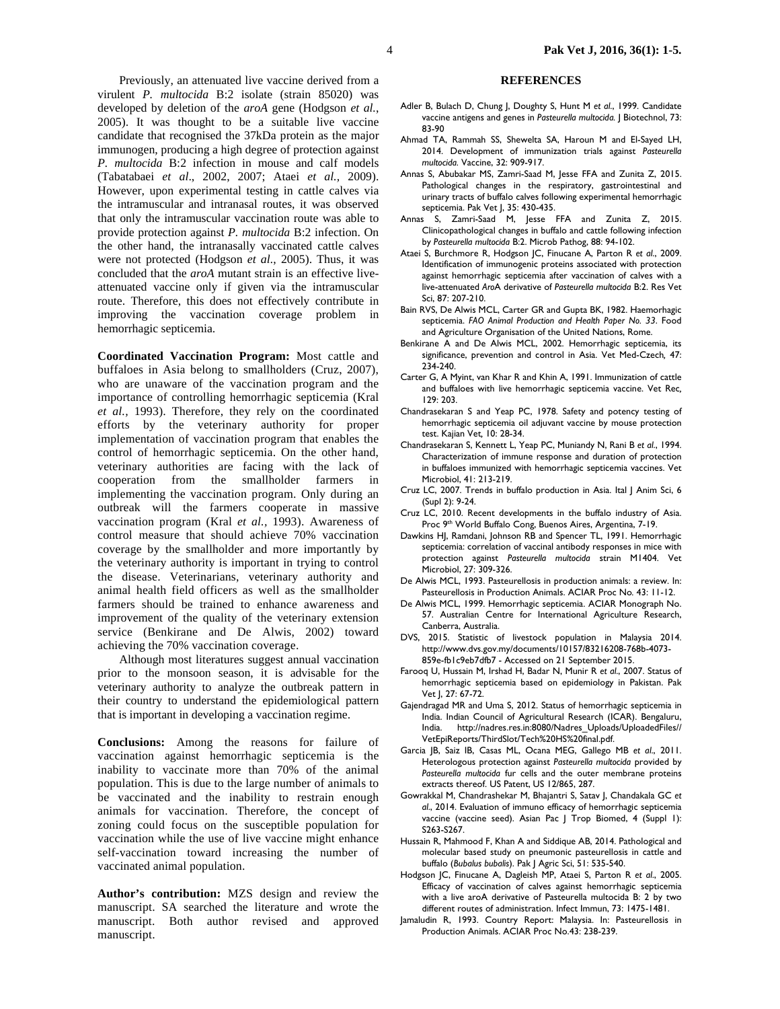Previously, an attenuated live vaccine derived from a virulent *P. multocida* B:2 isolate (strain 85020) was developed by deletion of the *aroA* gene (Hodgson *et al.*, 2005). It was thought to be a suitable live vaccine candidate that recognised the 37kDa protein as the major immunogen, producing a high degree of protection against *P. multocida* B:2 infection in mouse and calf models (Tabatabaei *et al*., 2002, 2007; Ataei *et al.,* 2009). However, upon experimental testing in cattle calves via the intramuscular and intranasal routes, it was observed that only the intramuscular vaccination route was able to provide protection against *P. multocida* B:2 infection. On the other hand, the intranasally vaccinated cattle calves were not protected (Hodgson *et al.*, 2005). Thus, it was concluded that the *aroA* mutant strain is an effective liveattenuated vaccine only if given via the intramuscular route. Therefore, this does not effectively contribute in improving the vaccination coverage problem in hemorrhagic septicemia.

**Coordinated Vaccination Program:** Most cattle and buffaloes in Asia belong to smallholders (Cruz, 2007), who are unaware of the vaccination program and the importance of controlling hemorrhagic septicemia (Kral *et al.,* 1993). Therefore, they rely on the coordinated efforts by the veterinary authority for proper implementation of vaccination program that enables the control of hemorrhagic septicemia. On the other hand, veterinary authorities are facing with the lack of cooperation from the smallholder farmers in implementing the vaccination program. Only during an outbreak will the farmers cooperate in massive vaccination program (Kral *et al.,* 1993). Awareness of control measure that should achieve 70% vaccination coverage by the smallholder and more importantly by the veterinary authority is important in trying to control the disease. Veterinarians, veterinary authority and animal health field officers as well as the smallholder farmers should be trained to enhance awareness and improvement of the quality of the veterinary extension service (Benkirane and De Alwis, 2002) toward achieving the 70% vaccination coverage.

Although most literatures suggest annual vaccination prior to the monsoon season, it is advisable for the veterinary authority to analyze the outbreak pattern in their country to understand the epidemiological pattern that is important in developing a vaccination regime.

**Conclusions:** Among the reasons for failure of vaccination against hemorrhagic septicemia is the inability to vaccinate more than 70% of the animal population. This is due to the large number of animals to be vaccinated and the inability to restrain enough animals for vaccination. Therefore, the concept of zoning could focus on the susceptible population for vaccination while the use of live vaccine might enhance self-vaccination toward increasing the number of vaccinated animal population.

**Author's contribution:** MZS design and review the manuscript. SA searched the literature and wrote the manuscript. Both author revised and approved manuscript.

## **REFERENCES**

- Adler B, Bulach D, Chung J, Doughty S, Hunt M *et al*., 1999. Candidate vaccine antigens and genes in *Pasteurella multocida.* J Biotechnol, 73: 83-90
- Ahmad TA, Rammah SS, Shewelta SA, Haroun M and El-Sayed LH, 2014. Development of immunization trials against *Pasteurella multocida.* Vaccine, 32: 909-917.
- Annas S, Abubakar MS, Zamri-Saad M, Jesse FFA and Zunita Z, 2015. Pathological changes in the respiratory, gastrointestinal and urinary tracts of buffalo calves following experimental hemorrhagic septicemia. Pak Vet J, 35: 430-435.
- Annas S, Zamri-Saad M, Jesse FFA and Zunita Z, 2015. Clinicopathological changes in buffalo and cattle following infection by *Pasteurella multocida* B:2. Microb Pathog, 88: 94-102.
- Ataei S, Burchmore R, Hodgson JC, Finucane A, Parton R *et al*., 2009. Identification of immunogenic proteins associated with protection against hemorrhagic septicemia after vaccination of calves with a live-attenuated *Aro*A derivative of *Pasteurella multocida* B:2. Res Vet Sci, 87: 207-210.
- Bain RVS, De Alwis MCL, Carter GR and Gupta BK, 1982. Haemorhagic septicemia. *FAO Animal Production and Health Paper No. 33*. Food and Agriculture Organisation of the United Nations, Rome.
- Benkirane A and De Alwis MCL, 2002. Hemorrhagic septicemia, its significance, prevention and control in Asia. Vet Med-Czech*,* 47: 234-240.
- Carter G, A Myint, van Khar R and Khin A, 1991. Immunization of cattle and buffaloes with live hemorrhagic septicemia vaccine. Vet Rec*,* 129: 203.
- Chandrasekaran S and Yeap PC, 1978. Safety and potency testing of hemorrhagic septicemia oil adjuvant vaccine by mouse protection test. Kajian Vet*,* 10: 28-34.
- Chandrasekaran S, Kennett L, Yeap PC, Muniandy N, Rani B *et al*., 1994. Characterization of immune response and duration of protection in buffaloes immunized with hemorrhagic septicemia vaccines. Vet Microbiol, 41: 213-219.
- Cruz LC, 2007. Trends in buffalo production in Asia. Ital J Anim Sci, 6 (Supl 2): 9-24.
- Cruz LC, 2010. Recent developments in the buffalo industry of Asia. Proc 9<sup>th</sup> World Buffalo Cong, Buenos Aires, Argentina, 7-19.
- Dawkins HJ, Ramdani, Johnson RB and Spencer TL, 1991. Hemorrhagic septicemia: correlation of vaccinal antibody responses in mice with protection against *Pasteurella multocida* strain M1404. Vet Microbiol, 27: 309-326.
- De Alwis MCL, 1993. Pasteurellosis in production animals: a review. In: Pasteurellosis in Production Animals. ACIAR Proc No*.* 43: 11-12.
- De Alwis MCL, 1999. Hemorrhagic septicemia. ACIAR Monograph No. 57. Australian Centre for International Agriculture Research, Canberra, Australia.
- DVS, 2015. Statistic of livestock population in Malaysia 2014. http://www.dvs.gov.my/documents/10157/83216208-768b-4073- 859e-fb1c9eb7dfb7 - Accessed on 21 September 2015.
- Farooq U, Hussain M, Irshad H, Badar N, Munir R *et al*., 2007. Status of hemorrhagic septicemia based on epidemiology in Pakistan. Pak Vet J, 27: 67-72.
- Gajendragad MR and Uma S, 2012. Status of hemorrhagic septicemia in India. Indian Council of Agricultural Research (ICAR). Bengaluru, India. http://nadres.res.in:8080/Nadres\_Uploads/UploadedFiles// VetEpiReports/ThirdSlot/Tech%20HS%20final.pdf.
- Garcia JB, Saiz IB, Casas ML, Ocana MEG, Gallego MB *et al*., 2011. Heterologous protection against *Pasteurella multocida* provided by *Pasteurella multocida* fur cells and the outer membrane proteins extracts thereof. US Patent, US 12/865, 287.
- Gowrakkal M, Chandrashekar M, Bhajantri S, Satav J, Chandakala GC *et al*., 2014. Evaluation of immuno efficacy of hemorrhagic septicemia vaccine (vaccine seed). Asian Pac J Trop Biomed, 4 (Suppl 1): S263-S267.
- Hussain R, Mahmood F, Khan A and Siddique AB, 2014. Pathological and molecular based study on pneumonic pasteurellosis in cattle and buffalo (*Bubalus bubalis*). Pak J Agric Sci, 51: 535-540.
- Hodgson JC, Finucane A, Dagleish MP, Ataei S, Parton R *et al*., 2005. Efficacy of vaccination of calves against hemorrhagic septicemia with a live aroA derivative of Pasteurella multocida B: 2 by two different routes of administration. Infect Immun, 73: 1475-1481.
- Jamaludin R, 1993. Country Report: Malaysia. In: Pasteurellosis in Production Animals. ACIAR Proc No.43: 238-239.